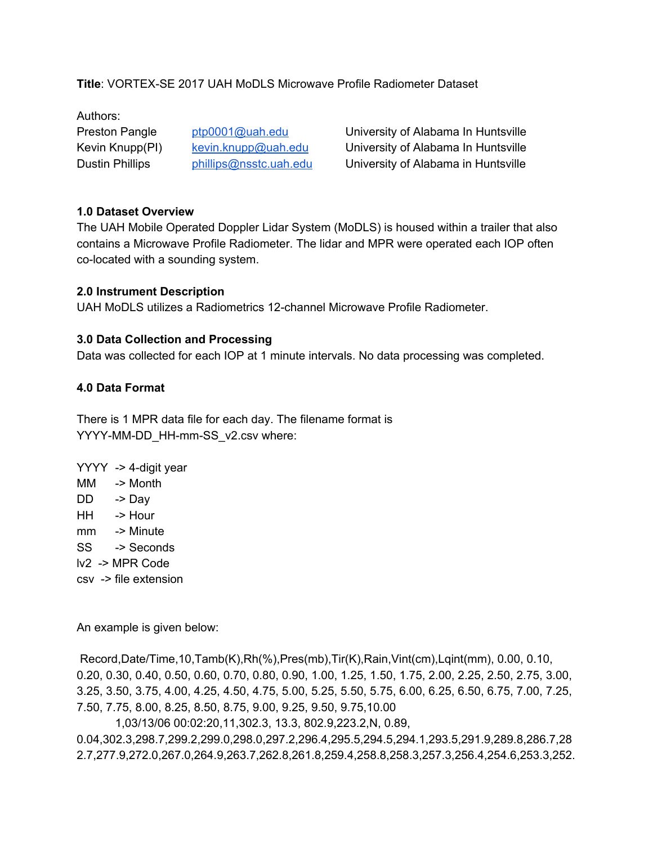**Title**: VORTEX-SE 2017 UAH MoDLS Microwave Profile Radiometer Dataset

Authors:

Preston Pangle [ptp0001@uah.edu](mailto:ptp0001@uah.edu) University of Alabama In Huntsville Kevin Knupp(PI) [kevin.knupp@uah.edu](mailto:kevin.knupp@uah.edu) University of Alabama In Huntsville Dustin Phillips [phillips@nsstc.uah.edu](mailto:phillips@nsstc.uah.edu) University of Alabama in Huntsville

## **1.0 Dataset Overview**

The UAH Mobile Operated Doppler Lidar System (MoDLS) is housed within a trailer that also contains a Microwave Profile Radiometer. The lidar and MPR were operated each IOP often co-located with a sounding system.

## **2.0 Instrument Description**

UAH MoDLS utilizes a Radiometrics 12-channel Microwave Profile Radiometer.

## **3.0 Data Collection and Processing**

Data was collected for each IOP at 1 minute intervals. No data processing was completed.

## **4.0 Data Format**

There is 1 MPR data file for each day. The filename format is YYYY-MM-DD\_HH-mm-SS\_v2.csv where:

YYYY -> 4-digit year

- MM -> Month
- DD -> Day
- HH -> Hour
- mm -> Minute
- SS -> Seconds
- lv2 -> MPR Code
- csv -> file extension

An example is given below:

Record,Date/Time,10,Tamb(K),Rh(%),Pres(mb),Tir(K),Rain,Vint(cm),Lqint(mm), 0.00, 0.10, 0.20, 0.30, 0.40, 0.50, 0.60, 0.70, 0.80, 0.90, 1.00, 1.25, 1.50, 1.75, 2.00, 2.25, 2.50, 2.75, 3.00, 3.25, 3.50, 3.75, 4.00, 4.25, 4.50, 4.75, 5.00, 5.25, 5.50, 5.75, 6.00, 6.25, 6.50, 6.75, 7.00, 7.25, 7.50, 7.75, 8.00, 8.25, 8.50, 8.75, 9.00, 9.25, 9.50, 9.75,10.00

1,03/13/06 00:02:20,11,302.3, 13.3, 802.9,223.2,N, 0.89,

0.04,302.3,298.7,299.2,299.0,298.0,297.2,296.4,295.5,294.5,294.1,293.5,291.9,289.8,286.7,28 2.7,277.9,272.0,267.0,264.9,263.7,262.8,261.8,259.4,258.8,258.3,257.3,256.4,254.6,253.3,252.